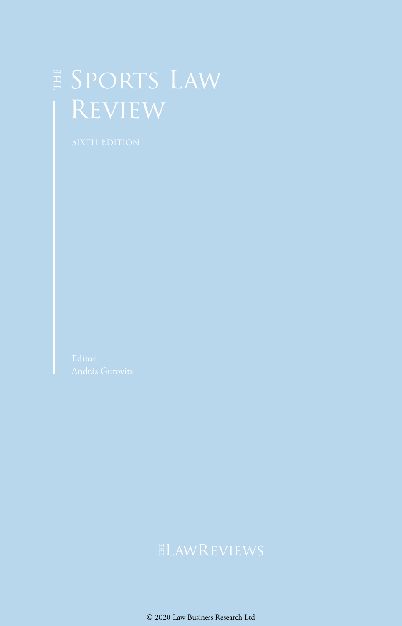# E SPORTS LAW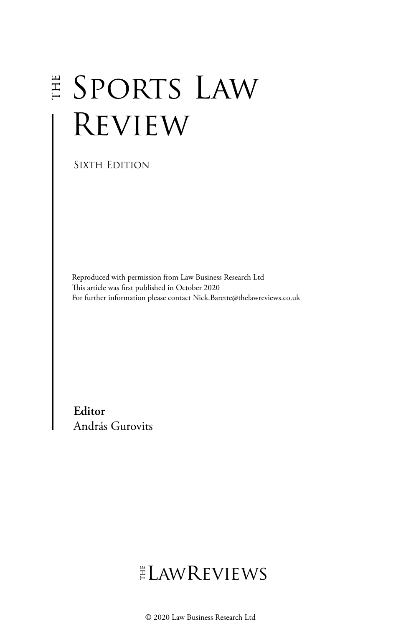## E SPORTS LAW **REVIEW**

Sixth Edition

Reproduced with permission from Law Business Research Ltd This article was first published in October 2020 For further information please contact Nick.Barette@thelawreviews.co.uk

**Editor** András Gurovits

## ELAWREVIEWS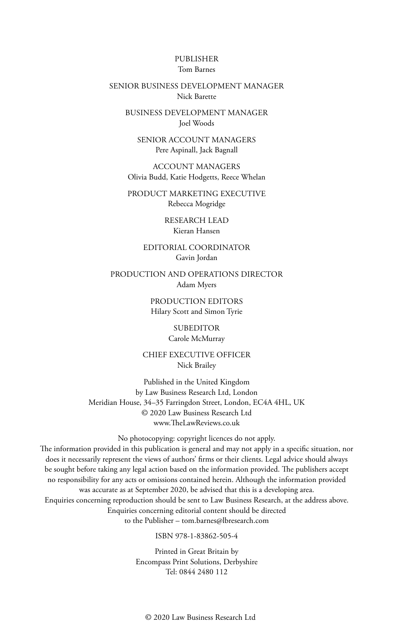#### PUBLISHER Tom Barnes

#### SENIOR BUSINESS DEVELOPMENT MANAGER Nick Barette

BUSINESS DEVELOPMENT MANAGER Joel Woods

SENIOR ACCOUNT MANAGERS Pere Aspinall, Jack Bagnall

ACCOUNT MANAGERS Olivia Budd, Katie Hodgetts, Reece Whelan

PRODUCT MARKETING EXECUTIVE Rebecca Mogridge

> RESEARCH LEAD Kieran Hansen

EDITORIAL COORDINATOR Gavin Jordan

PRODUCTION AND OPERATIONS DIRECTOR Adam Myers

> PRODUCTION EDITORS Hilary Scott and Simon Tyrie

> > SUBEDITOR Carole McMurray

CHIEF EXECUTIVE OFFICER Nick Brailey

Published in the United Kingdom by Law Business Research Ltd, London Meridian House, 34–35 Farringdon Street, London, EC4A 4HL, UK © 2020 Law Business Research Ltd www.TheLawReviews.co.uk

No photocopying: copyright licences do not apply. The information provided in this publication is general and may not apply in a specific situation, nor does it necessarily represent the views of authors' firms or their clients. Legal advice should always be sought before taking any legal action based on the information provided. The publishers accept no responsibility for any acts or omissions contained herein. Although the information provided was accurate as at September 2020, be advised that this is a developing area. Enquiries concerning reproduction should be sent to Law Business Research, at the address above. Enquiries concerning editorial content should be directed to the Publisher – tom.barnes@lbresearch.com

ISBN 978-1-83862-505-4

Printed in Great Britain by Encompass Print Solutions, Derbyshire Tel: 0844 2480 112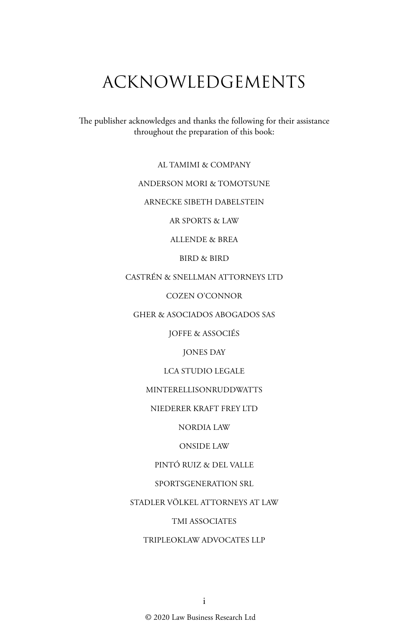## ACKNOWLEDGEMENTS

The publisher acknowledges and thanks the following for their assistance throughout the preparation of this book:

AL TAMIMI & COMPANY

ANDERSON MORI & TOMOTSUNE

ARNECKE SIBETH DABELSTEIN

AR SPORTS & LAW

ALLENDE & BREA

BIRD & BIRD

CASTRÉN & SNELLMAN ATTORNEYS LTD

COZEN O'CONNOR

GHER & ASOCIADOS ABOGADOS SAS

JOFFE & ASSOCIÉS

JONES DAY

LCA STUDIO LEGALE

MINTERELLISONRUDDWATTS

NIEDERER KRAFT FREY LTD

NORDIA LAW

ONSIDE LAW

PINTÓ RUIZ & DEL VALLE

SPORTSGENERATION SRL

STADLER VÖLKEL ATTORNEYS AT LAW

TMI ASSOCIATES

TRIPLEOKLAW ADVOCATES LLP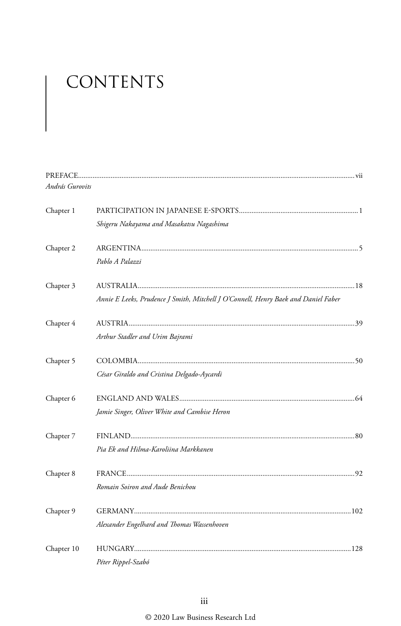# CONTENTS

| András Gurovits |                                                                                    |  |
|-----------------|------------------------------------------------------------------------------------|--|
| Chapter 1       |                                                                                    |  |
|                 | Shigeru Nakayama and Masakatsu Nagashima                                           |  |
| Chapter 2       |                                                                                    |  |
|                 | Pablo A Palazzi                                                                    |  |
| Chapter 3       |                                                                                    |  |
|                 | Annie E Leeks, Prudence J Smith, Mitchell J O'Connell, Henry Baek and Daniel Faber |  |
| Chapter 4       |                                                                                    |  |
|                 | Arthur Stadler and Urim Bajrami                                                    |  |
| Chapter 5       |                                                                                    |  |
|                 | César Giraldo and Cristina Delgado-Aycardi                                         |  |
| Chapter 6       |                                                                                    |  |
|                 | Jamie Singer, Oliver White and Cambise Heron                                       |  |
| Chapter 7       |                                                                                    |  |
|                 | Pia Ek and Hilma-Karoliina Markkanen                                               |  |
| Chapter 8       |                                                                                    |  |
|                 | Romain Soiron and Aude Benichou                                                    |  |
| Chapter 9       |                                                                                    |  |
|                 | Alexander Engelhard and Thomas Wassenhoven                                         |  |
| Chapter 10      |                                                                                    |  |
|                 | Péter Rippel-Szabó                                                                 |  |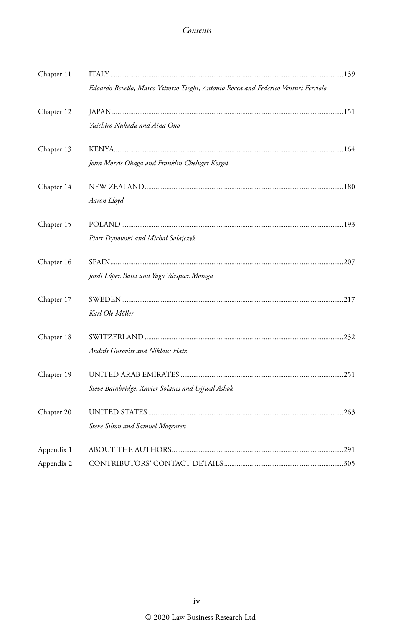| Chapter 11 |                                                                                     |  |
|------------|-------------------------------------------------------------------------------------|--|
|            | Edoardo Revello, Marco Vittorio Tieghi, Antonio Rocca and Federico Venturi Ferriolo |  |
| Chapter 12 |                                                                                     |  |
|            | Yuichiro Nukada and Aina Ono                                                        |  |
| Chapter 13 |                                                                                     |  |
|            | John Morris Ohaga and Franklin Cheluget Kosgei                                      |  |
| Chapter 14 |                                                                                     |  |
|            | Aaron Lloyd                                                                         |  |
| Chapter 15 |                                                                                     |  |
|            | Piotr Dynowski and Michał Sałajczyk                                                 |  |
| Chapter 16 |                                                                                     |  |
|            | Jordi López Batet and Yago Vázquez Moraga                                           |  |
| Chapter 17 |                                                                                     |  |
|            | Karl Ole Möller                                                                     |  |
| Chapter 18 |                                                                                     |  |
|            | András Gurovits and Niklaus Hatz                                                    |  |
| Chapter 19 |                                                                                     |  |
|            | Steve Bainbridge, Xavier Solanes and Ujjwal Ashok                                   |  |
| Chapter 20 |                                                                                     |  |
|            | Steve Silton and Samuel Mogensen                                                    |  |
| Appendix 1 |                                                                                     |  |
| Appendix 2 |                                                                                     |  |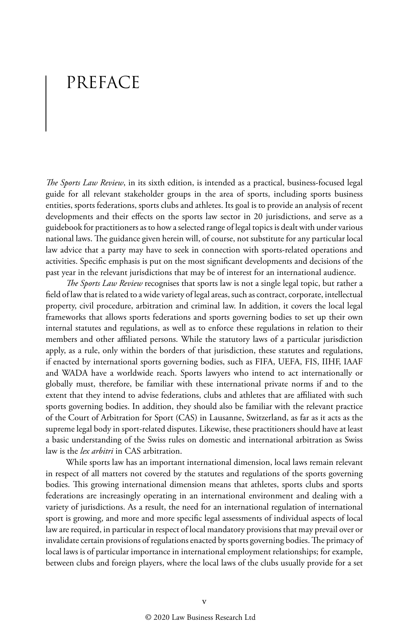### PREFACE

*The Sports Law Review*, in its sixth edition, is intended as a practical, business-focused legal guide for all relevant stakeholder groups in the area of sports, including sports business entities, sports federations, sports clubs and athletes. Its goal is to provide an analysis of recent developments and their effects on the sports law sector in 20 jurisdictions, and serve as a guidebook for practitioners as to how a selected range of legal topics is dealt with under various national laws. The guidance given herein will, of course, not substitute for any particular local law advice that a party may have to seek in connection with sports-related operations and activities. Specific emphasis is put on the most significant developments and decisions of the past year in the relevant jurisdictions that may be of interest for an international audience.

*The Sports Law Review* recognises that sports law is not a single legal topic, but rather a field of law that is related to a wide variety of legal areas, such as contract, corporate, intellectual property, civil procedure, arbitration and criminal law. In addition, it covers the local legal frameworks that allows sports federations and sports governing bodies to set up their own internal statutes and regulations, as well as to enforce these regulations in relation to their members and other affiliated persons. While the statutory laws of a particular jurisdiction apply, as a rule, only within the borders of that jurisdiction, these statutes and regulations, if enacted by international sports governing bodies, such as FIFA, UEFA, FIS, IIHF, IAAF and WADA have a worldwide reach. Sports lawyers who intend to act internationally or globally must, therefore, be familiar with these international private norms if and to the extent that they intend to advise federations, clubs and athletes that are affiliated with such sports governing bodies. In addition, they should also be familiar with the relevant practice of the Court of Arbitration for Sport (CAS) in Lausanne, Switzerland, as far as it acts as the supreme legal body in sport-related disputes. Likewise, these practitioners should have at least a basic understanding of the Swiss rules on domestic and international arbitration as Swiss law is the *lex arbitri* in CAS arbitration.

While sports law has an important international dimension, local laws remain relevant in respect of all matters not covered by the statutes and regulations of the sports governing bodies. This growing international dimension means that athletes, sports clubs and sports federations are increasingly operating in an international environment and dealing with a variety of jurisdictions. As a result, the need for an international regulation of international sport is growing, and more and more specific legal assessments of individual aspects of local law are required, in particular in respect of local mandatory provisions that may prevail over or invalidate certain provisions of regulations enacted by sports governing bodies. The primacy of local laws is of particular importance in international employment relationships; for example, between clubs and foreign players, where the local laws of the clubs usually provide for a set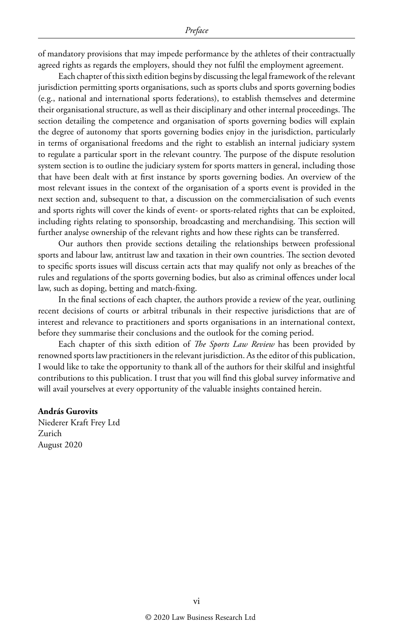of mandatory provisions that may impede performance by the athletes of their contractually agreed rights as regards the employers, should they not fulfil the employment agreement.

Each chapter of this sixth edition begins by discussing the legal framework of the relevant jurisdiction permitting sports organisations, such as sports clubs and sports governing bodies (e.g., national and international sports federations), to establish themselves and determine their organisational structure, as well as their disciplinary and other internal proceedings. The section detailing the competence and organisation of sports governing bodies will explain the degree of autonomy that sports governing bodies enjoy in the jurisdiction, particularly in terms of organisational freedoms and the right to establish an internal judiciary system to regulate a particular sport in the relevant country. The purpose of the dispute resolution system section is to outline the judiciary system for sports matters in general, including those that have been dealt with at first instance by sports governing bodies. An overview of the most relevant issues in the context of the organisation of a sports event is provided in the next section and, subsequent to that, a discussion on the commercialisation of such events and sports rights will cover the kinds of event- or sports-related rights that can be exploited, including rights relating to sponsorship, broadcasting and merchandising. This section will further analyse ownership of the relevant rights and how these rights can be transferred.

Our authors then provide sections detailing the relationships between professional sports and labour law, antitrust law and taxation in their own countries. The section devoted to specific sports issues will discuss certain acts that may qualify not only as breaches of the rules and regulations of the sports governing bodies, but also as criminal offences under local law, such as doping, betting and match-fixing.

In the final sections of each chapter, the authors provide a review of the year, outlining recent decisions of courts or arbitral tribunals in their respective jurisdictions that are of interest and relevance to practitioners and sports organisations in an international context, before they summarise their conclusions and the outlook for the coming period.

Each chapter of this sixth edition of *The Sports Law Review* has been provided by renowned sports law practitioners in the relevant jurisdiction. As the editor of this publication, I would like to take the opportunity to thank all of the authors for their skilful and insightful contributions to this publication. I trust that you will find this global survey informative and will avail yourselves at every opportunity of the valuable insights contained herein.

#### **András Gurovits**

Niederer Kraft Frey Ltd Zurich August 2020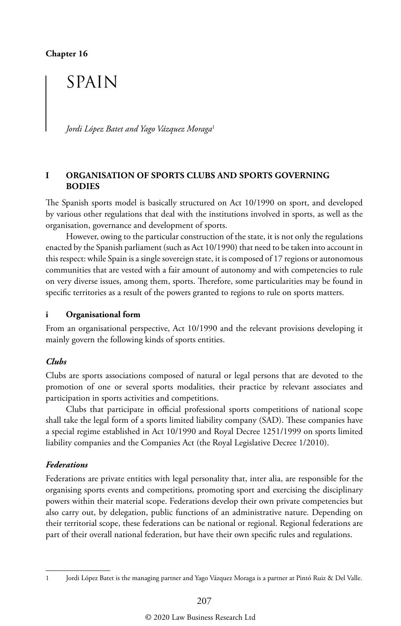### SPAIN

*Jordi López Batet and Yago Vázquez Moraga*<sup>1</sup>

#### **I ORGANISATION OF SPORTS CLUBS AND SPORTS GOVERNING BODIES**

The Spanish sports model is basically structured on Act 10/1990 on sport, and developed by various other regulations that deal with the institutions involved in sports, as well as the organisation, governance and development of sports.

However, owing to the particular construction of the state, it is not only the regulations enacted by the Spanish parliament (such as Act 10/1990) that need to be taken into account in this respect: while Spain is a single sovereign state, it is composed of 17 regions or autonomous communities that are vested with a fair amount of autonomy and with competencies to rule on very diverse issues, among them, sports. Therefore, some particularities may be found in specific territories as a result of the powers granted to regions to rule on sports matters.

#### **i Organisational form**

From an organisational perspective, Act 10/1990 and the relevant provisions developing it mainly govern the following kinds of sports entities.

#### *Clubs*

Clubs are sports associations composed of natural or legal persons that are devoted to the promotion of one or several sports modalities, their practice by relevant associates and participation in sports activities and competitions.

Clubs that participate in official professional sports competitions of national scope shall take the legal form of a sports limited liability company (SAD). These companies have a special regime established in Act 10/1990 and Royal Decree 1251/1999 on sports limited liability companies and the Companies Act (the Royal Legislative Decree 1/2010).

#### *Federations*

Federations are private entities with legal personality that, inter alia, are responsible for the organising sports events and competitions, promoting sport and exercising the disciplinary powers within their material scope. Federations develop their own private competencies but also carry out, by delegation, public functions of an administrative nature. Depending on their territorial scope, these federations can be national or regional. Regional federations are part of their overall national federation, but have their own specific rules and regulations.

<sup>1</sup> Jordi López Batet is the managing partner and Yago Vázquez Moraga is a partner at Pintó Ruiz & Del Valle.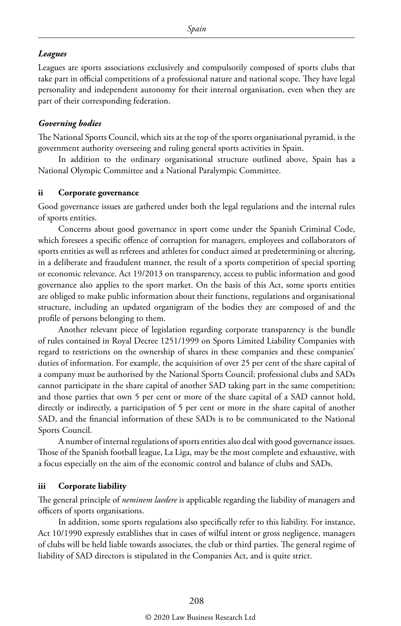#### *Leagues*

Leagues are sports associations exclusively and compulsorily composed of sports clubs that take part in official competitions of a professional nature and national scope. They have legal personality and independent autonomy for their internal organisation, even when they are part of their corresponding federation.

#### *Governing bodies*

The National Sports Council, which sits at the top of the sports organisational pyramid, is the government authority overseeing and ruling general sports activities in Spain.

In addition to the ordinary organisational structure outlined above, Spain has a National Olympic Committee and a National Paralympic Committee.

#### **ii Corporate governance**

Good governance issues are gathered under both the legal regulations and the internal rules of sports entities.

Concerns about good governance in sport come under the Spanish Criminal Code, which foresees a specific offence of corruption for managers, employees and collaborators of sports entities as well as referees and athletes for conduct aimed at predetermining or altering, in a deliberate and fraudulent manner, the result of a sports competition of special sporting or economic relevance. Act 19/2013 on transparency, access to public information and good governance also applies to the sport market. On the basis of this Act, some sports entities are obliged to make public information about their functions, regulations and organisational structure, including an updated organigram of the bodies they are composed of and the profile of persons belonging to them.

Another relevant piece of legislation regarding corporate transparency is the bundle of rules contained in Royal Decree 1251/1999 on Sports Limited Liability Companies with regard to restrictions on the ownership of shares in these companies and these companies' duties of information. For example, the acquisition of over 25 per cent of the share capital of a company must be authorised by the National Sports Council; professional clubs and SADs cannot participate in the share capital of another SAD taking part in the same competition; and those parties that own 5 per cent or more of the share capital of a SAD cannot hold, directly or indirectly, a participation of 5 per cent or more in the share capital of another SAD, and the financial information of these SADs is to be communicated to the National Sports Council.

A number of internal regulations of sports entities also deal with good governance issues. Those of the Spanish football league, La Liga, may be the most complete and exhaustive, with a focus especially on the aim of the economic control and balance of clubs and SADs.

#### **iii Corporate liability**

The general principle of *neminem laedere* is applicable regarding the liability of managers and officers of sports organisations.

In addition, some sports regulations also specifically refer to this liability. For instance, Act 10/1990 expressly establishes that in cases of wilful intent or gross negligence, managers of clubs will be held liable towards associates, the club or third parties. The general regime of liability of SAD directors is stipulated in the Companies Act, and is quite strict.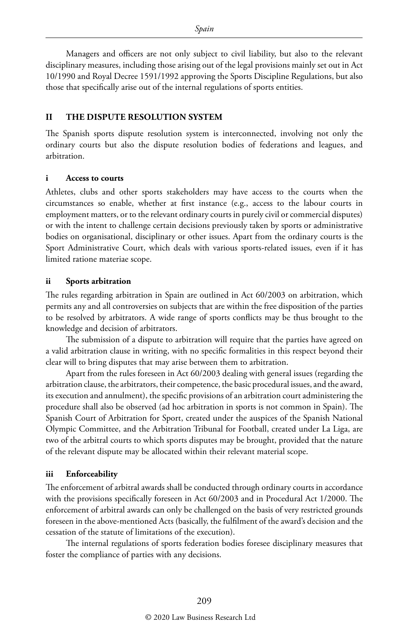Managers and officers are not only subject to civil liability, but also to the relevant disciplinary measures, including those arising out of the legal provisions mainly set out in Act 10/1990 and Royal Decree 1591/1992 approving the Sports Discipline Regulations, but also those that specifically arise out of the internal regulations of sports entities.

#### **II THE DISPUTE RESOLUTION SYSTEM**

The Spanish sports dispute resolution system is interconnected, involving not only the ordinary courts but also the dispute resolution bodies of federations and leagues, and arbitration.

#### **i Access to courts**

Athletes, clubs and other sports stakeholders may have access to the courts when the circumstances so enable, whether at first instance (e.g., access to the labour courts in employment matters, or to the relevant ordinary courts in purely civil or commercial disputes) or with the intent to challenge certain decisions previously taken by sports or administrative bodies on organisational, disciplinary or other issues. Apart from the ordinary courts is the Sport Administrative Court, which deals with various sports-related issues, even if it has limited ratione materiae scope.

#### **ii Sports arbitration**

The rules regarding arbitration in Spain are outlined in Act 60/2003 on arbitration, which permits any and all controversies on subjects that are within the free disposition of the parties to be resolved by arbitrators. A wide range of sports conflicts may be thus brought to the knowledge and decision of arbitrators.

The submission of a dispute to arbitration will require that the parties have agreed on a valid arbitration clause in writing, with no specific formalities in this respect beyond their clear will to bring disputes that may arise between them to arbitration.

Apart from the rules foreseen in Act 60/2003 dealing with general issues (regarding the arbitration clause, the arbitrators, their competence, the basic procedural issues, and the award, its execution and annulment), the specific provisions of an arbitration court administering the procedure shall also be observed (ad hoc arbitration in sports is not common in Spain). The Spanish Court of Arbitration for Sport, created under the auspices of the Spanish National Olympic Committee, and the Arbitration Tribunal for Football, created under La Liga, are two of the arbitral courts to which sports disputes may be brought, provided that the nature of the relevant dispute may be allocated within their relevant material scope.

#### **iii Enforceability**

The enforcement of arbitral awards shall be conducted through ordinary courts in accordance with the provisions specifically foreseen in Act 60/2003 and in Procedural Act 1/2000. The enforcement of arbitral awards can only be challenged on the basis of very restricted grounds foreseen in the above-mentioned Acts (basically, the fulfilment of the award's decision and the cessation of the statute of limitations of the execution).

The internal regulations of sports federation bodies foresee disciplinary measures that foster the compliance of parties with any decisions.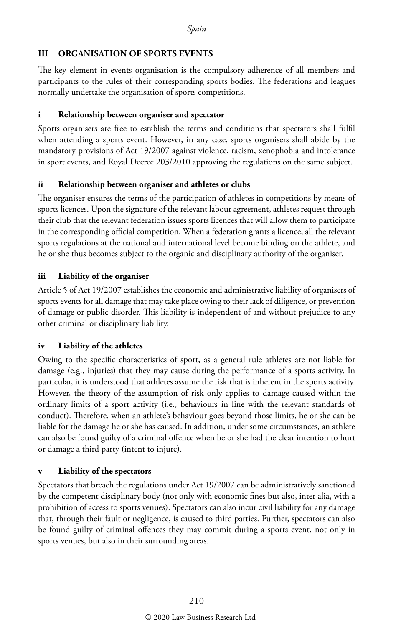#### **III ORGANISATION OF SPORTS EVENTS**

The key element in events organisation is the compulsory adherence of all members and participants to the rules of their corresponding sports bodies. The federations and leagues normally undertake the organisation of sports competitions.

#### **i Relationship between organiser and spectator**

Sports organisers are free to establish the terms and conditions that spectators shall fulfil when attending a sports event. However, in any case, sports organisers shall abide by the mandatory provisions of Act 19/2007 against violence, racism, xenophobia and intolerance in sport events, and Royal Decree 203/2010 approving the regulations on the same subject.

#### **ii Relationship between organiser and athletes or clubs**

The organiser ensures the terms of the participation of athletes in competitions by means of sports licences. Upon the signature of the relevant labour agreement, athletes request through their club that the relevant federation issues sports licences that will allow them to participate in the corresponding official competition. When a federation grants a licence, all the relevant sports regulations at the national and international level become binding on the athlete, and he or she thus becomes subject to the organic and disciplinary authority of the organiser.

#### **iii Liability of the organiser**

Article 5 of Act 19/2007 establishes the economic and administrative liability of organisers of sports events for all damage that may take place owing to their lack of diligence, or prevention of damage or public disorder. This liability is independent of and without prejudice to any other criminal or disciplinary liability.

#### **iv Liability of the athletes**

Owing to the specific characteristics of sport, as a general rule athletes are not liable for damage (e.g., injuries) that they may cause during the performance of a sports activity. In particular, it is understood that athletes assume the risk that is inherent in the sports activity. However, the theory of the assumption of risk only applies to damage caused within the ordinary limits of a sport activity (i.e., behaviours in line with the relevant standards of conduct). Therefore, when an athlete's behaviour goes beyond those limits, he or she can be liable for the damage he or she has caused. In addition, under some circumstances, an athlete can also be found guilty of a criminal offence when he or she had the clear intention to hurt or damage a third party (intent to injure).

#### **v Liability of the spectators**

Spectators that breach the regulations under Act 19/2007 can be administratively sanctioned by the competent disciplinary body (not only with economic fines but also, inter alia, with a prohibition of access to sports venues). Spectators can also incur civil liability for any damage that, through their fault or negligence, is caused to third parties. Further, spectators can also be found guilty of criminal offences they may commit during a sports event, not only in sports venues, but also in their surrounding areas.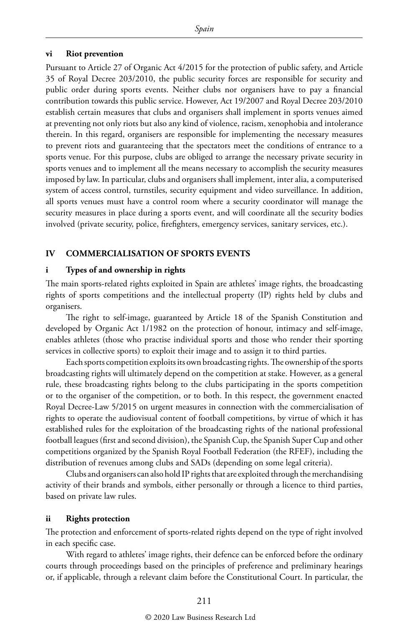#### **vi Riot prevention**

Pursuant to Article 27 of Organic Act 4/2015 for the protection of public safety, and Article 35 of Royal Decree 203/2010, the public security forces are responsible for security and public order during sports events. Neither clubs nor organisers have to pay a financial contribution towards this public service. However, Act 19/2007 and Royal Decree 203/2010 establish certain measures that clubs and organisers shall implement in sports venues aimed at preventing not only riots but also any kind of violence, racism, xenophobia and intolerance therein. In this regard, organisers are responsible for implementing the necessary measures to prevent riots and guaranteeing that the spectators meet the conditions of entrance to a sports venue. For this purpose, clubs are obliged to arrange the necessary private security in sports venues and to implement all the means necessary to accomplish the security measures imposed by law. In particular, clubs and organisers shall implement, inter alia, a computerised system of access control, turnstiles, security equipment and video surveillance. In addition, all sports venues must have a control room where a security coordinator will manage the security measures in place during a sports event, and will coordinate all the security bodies involved (private security, police, firefighters, emergency services, sanitary services, etc.).

#### **IV COMMERCIALISATION OF SPORTS EVENTS**

#### **i Types of and ownership in rights**

The main sports-related rights exploited in Spain are athletes' image rights, the broadcasting rights of sports competitions and the intellectual property (IP) rights held by clubs and organisers.

The right to self-image, guaranteed by Article 18 of the Spanish Constitution and developed by Organic Act 1/1982 on the protection of honour, intimacy and self-image, enables athletes (those who practise individual sports and those who render their sporting services in collective sports) to exploit their image and to assign it to third parties.

Each sports competition exploits its own broadcasting rights. The ownership of the sports broadcasting rights will ultimately depend on the competition at stake. However, as a general rule, these broadcasting rights belong to the clubs participating in the sports competition or to the organiser of the competition, or to both. In this respect, the government enacted Royal Decree-Law 5/2015 on urgent measures in connection with the commercialisation of rights to operate the audiovisual content of football competitions, by virtue of which it has established rules for the exploitation of the broadcasting rights of the national professional football leagues (first and second division), the Spanish Cup, the Spanish Super Cup and other competitions organized by the Spanish Royal Football Federation (the RFEF), including the distribution of revenues among clubs and SADs (depending on some legal criteria).

Clubs and organisers can also hold IP rights that are exploited through the merchandising activity of their brands and symbols, either personally or through a licence to third parties, based on private law rules.

#### **ii Rights protection**

The protection and enforcement of sports-related rights depend on the type of right involved in each specific case.

With regard to athletes' image rights, their defence can be enforced before the ordinary courts through proceedings based on the principles of preference and preliminary hearings or, if applicable, through a relevant claim before the Constitutional Court. In particular, the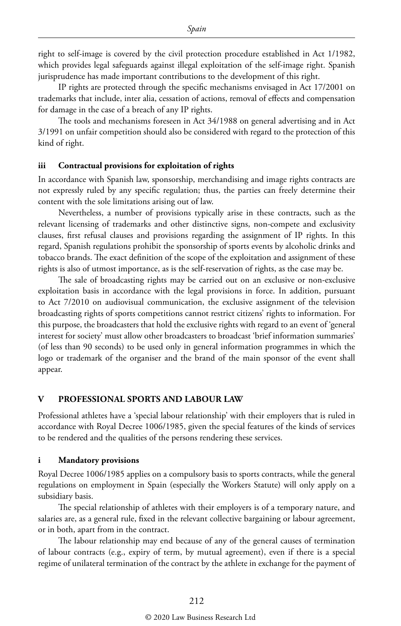right to self-image is covered by the civil protection procedure established in Act 1/1982, which provides legal safeguards against illegal exploitation of the self-image right. Spanish jurisprudence has made important contributions to the development of this right.

IP rights are protected through the specific mechanisms envisaged in Act 17/2001 on trademarks that include, inter alia, cessation of actions, removal of effects and compensation for damage in the case of a breach of any IP rights.

The tools and mechanisms foreseen in Act 34/1988 on general advertising and in Act 3/1991 on unfair competition should also be considered with regard to the protection of this kind of right.

#### **iii Contractual provisions for exploitation of rights**

In accordance with Spanish law, sponsorship, merchandising and image rights contracts are not expressly ruled by any specific regulation; thus, the parties can freely determine their content with the sole limitations arising out of law.

Nevertheless, a number of provisions typically arise in these contracts, such as the relevant licensing of trademarks and other distinctive signs, non-compete and exclusivity clauses, first refusal clauses and provisions regarding the assignment of IP rights. In this regard, Spanish regulations prohibit the sponsorship of sports events by alcoholic drinks and tobacco brands. The exact definition of the scope of the exploitation and assignment of these rights is also of utmost importance, as is the self-reservation of rights, as the case may be.

The sale of broadcasting rights may be carried out on an exclusive or non-exclusive exploitation basis in accordance with the legal provisions in force. In addition, pursuant to Act 7/2010 on audiovisual communication, the exclusive assignment of the television broadcasting rights of sports competitions cannot restrict citizens' rights to information. For this purpose, the broadcasters that hold the exclusive rights with regard to an event of 'general interest for society' must allow other broadcasters to broadcast 'brief information summaries' (of less than 90 seconds) to be used only in general information programmes in which the logo or trademark of the organiser and the brand of the main sponsor of the event shall appear.

#### **V PROFESSIONAL SPORTS AND LABOUR LAW**

Professional athletes have a 'special labour relationship' with their employers that is ruled in accordance with Royal Decree 1006/1985, given the special features of the kinds of services to be rendered and the qualities of the persons rendering these services.

#### **i Mandatory provisions**

Royal Decree 1006/1985 applies on a compulsory basis to sports contracts, while the general regulations on employment in Spain (especially the Workers Statute) will only apply on a subsidiary basis.

The special relationship of athletes with their employers is of a temporary nature, and salaries are, as a general rule, fixed in the relevant collective bargaining or labour agreement, or in both, apart from in the contract.

The labour relationship may end because of any of the general causes of termination of labour contracts (e.g., expiry of term, by mutual agreement), even if there is a special regime of unilateral termination of the contract by the athlete in exchange for the payment of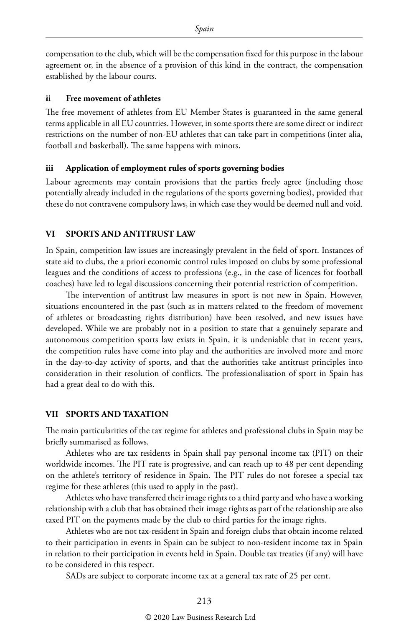compensation to the club, which will be the compensation fixed for this purpose in the labour agreement or, in the absence of a provision of this kind in the contract, the compensation established by the labour courts.

#### **ii Free movement of athletes**

The free movement of athletes from EU Member States is guaranteed in the same general terms applicable in all EU countries. However, in some sports there are some direct or indirect restrictions on the number of non-EU athletes that can take part in competitions (inter alia, football and basketball). The same happens with minors.

#### **iii Application of employment rules of sports governing bodies**

Labour agreements may contain provisions that the parties freely agree (including those potentially already included in the regulations of the sports governing bodies), provided that these do not contravene compulsory laws, in which case they would be deemed null and void.

#### **VI SPORTS AND ANTITRUST LAW**

In Spain, competition law issues are increasingly prevalent in the field of sport. Instances of state aid to clubs, the a priori economic control rules imposed on clubs by some professional leagues and the conditions of access to professions (e.g., in the case of licences for football coaches) have led to legal discussions concerning their potential restriction of competition.

The intervention of antitrust law measures in sport is not new in Spain. However, situations encountered in the past (such as in matters related to the freedom of movement of athletes or broadcasting rights distribution) have been resolved, and new issues have developed. While we are probably not in a position to state that a genuinely separate and autonomous competition sports law exists in Spain, it is undeniable that in recent years, the competition rules have come into play and the authorities are involved more and more in the day-to-day activity of sports, and that the authorities take antitrust principles into consideration in their resolution of conflicts. The professionalisation of sport in Spain has had a great deal to do with this.

#### **VII SPORTS AND TAXATION**

The main particularities of the tax regime for athletes and professional clubs in Spain may be briefly summarised as follows.

Athletes who are tax residents in Spain shall pay personal income tax (PIT) on their worldwide incomes. The PIT rate is progressive, and can reach up to 48 per cent depending on the athlete's territory of residence in Spain. The PIT rules do not foresee a special tax regime for these athletes (this used to apply in the past).

Athletes who have transferred their image rights to a third party and who have a working relationship with a club that has obtained their image rights as part of the relationship are also taxed PIT on the payments made by the club to third parties for the image rights.

Athletes who are not tax-resident in Spain and foreign clubs that obtain income related to their participation in events in Spain can be subject to non-resident income tax in Spain in relation to their participation in events held in Spain. Double tax treaties (if any) will have to be considered in this respect.

SADs are subject to corporate income tax at a general tax rate of 25 per cent.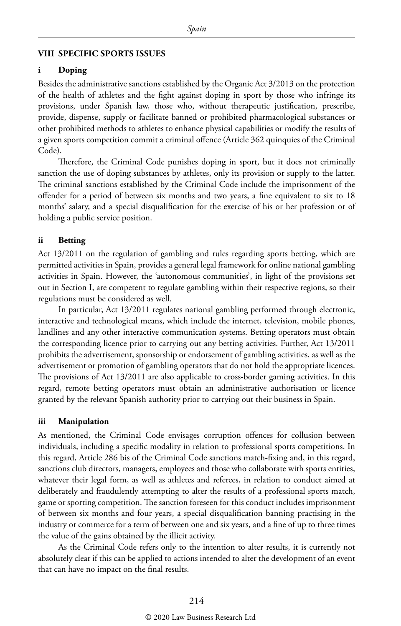#### **VIII SPECIFIC SPORTS ISSUES**

#### **i Doping**

Besides the administrative sanctions established by the Organic Act 3/2013 on the protection of the health of athletes and the fight against doping in sport by those who infringe its provisions, under Spanish law, those who, without therapeutic justification, prescribe, provide, dispense, supply or facilitate banned or prohibited pharmacological substances or other prohibited methods to athletes to enhance physical capabilities or modify the results of a given sports competition commit a criminal offence (Article 362 quinquies of the Criminal Code).

Therefore, the Criminal Code punishes doping in sport, but it does not criminally sanction the use of doping substances by athletes, only its provision or supply to the latter. The criminal sanctions established by the Criminal Code include the imprisonment of the offender for a period of between six months and two years, a fine equivalent to six to 18 months' salary, and a special disqualification for the exercise of his or her profession or of holding a public service position.

#### **ii Betting**

Act 13/2011 on the regulation of gambling and rules regarding sports betting, which are permitted activities in Spain, provides a general legal framework for online national gambling activities in Spain. However, the 'autonomous communities', in light of the provisions set out in Section I, are competent to regulate gambling within their respective regions, so their regulations must be considered as well.

In particular, Act 13/2011 regulates national gambling performed through electronic, interactive and technological means, which include the internet, television, mobile phones, landlines and any other interactive communication systems. Betting operators must obtain the corresponding licence prior to carrying out any betting activities. Further, Act 13/2011 prohibits the advertisement, sponsorship or endorsement of gambling activities, as well as the advertisement or promotion of gambling operators that do not hold the appropriate licences. The provisions of Act 13/2011 are also applicable to cross-border gaming activities. In this regard, remote betting operators must obtain an administrative authorisation or licence granted by the relevant Spanish authority prior to carrying out their business in Spain.

#### **iii Manipulation**

As mentioned, the Criminal Code envisages corruption offences for collusion between individuals, including a specific modality in relation to professional sports competitions. In this regard, Article 286 bis of the Criminal Code sanctions match-fixing and, in this regard, sanctions club directors, managers, employees and those who collaborate with sports entities, whatever their legal form, as well as athletes and referees, in relation to conduct aimed at deliberately and fraudulently attempting to alter the results of a professional sports match, game or sporting competition. The sanction foreseen for this conduct includes imprisonment of between six months and four years, a special disqualification banning practising in the industry or commerce for a term of between one and six years, and a fine of up to three times the value of the gains obtained by the illicit activity.

As the Criminal Code refers only to the intention to alter results, it is currently not absolutely clear if this can be applied to actions intended to alter the development of an event that can have no impact on the final results.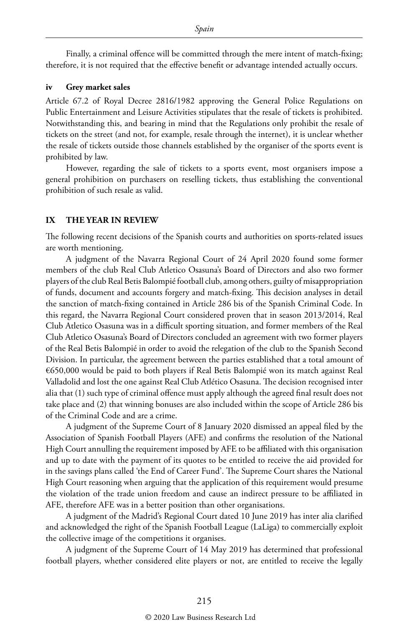Finally, a criminal offence will be committed through the mere intent of match-fixing; therefore, it is not required that the effective benefit or advantage intended actually occurs.

#### **iv Grey market sales**

Article 67.2 of Royal Decree 2816/1982 approving the General Police Regulations on Public Entertainment and Leisure Activities stipulates that the resale of tickets is prohibited. Notwithstanding this, and bearing in mind that the Regulations only prohibit the resale of tickets on the street (and not, for example, resale through the internet), it is unclear whether the resale of tickets outside those channels established by the organiser of the sports event is prohibited by law.

However, regarding the sale of tickets to a sports event, most organisers impose a general prohibition on purchasers on reselling tickets, thus establishing the conventional prohibition of such resale as valid.

#### **IX THE YEAR IN REVIEW**

The following recent decisions of the Spanish courts and authorities on sports-related issues are worth mentioning.

A judgment of the Navarra Regional Court of 24 April 2020 found some former members of the club Real Club Atletico Osasuna's Board of Directors and also two former players of the club Real Betis Balompié football club, among others, guilty of misappropriation of funds, document and accounts forgery and match-fixing. This decision analyses in detail the sanction of match-fixing contained in Article 286 bis of the Spanish Criminal Code. In this regard, the Navarra Regional Court considered proven that in season 2013/2014, Real Club Atletico Osasuna was in a difficult sporting situation, and former members of the Real Club Atletico Osasuna's Board of Directors concluded an agreement with two former players of the Real Betis Balompié in order to avoid the relegation of the club to the Spanish Second Division. In particular, the agreement between the parties established that a total amount of €650,000 would be paid to both players if Real Betis Balompié won its match against Real Valladolid and lost the one against Real Club Atlético Osasuna. The decision recognised inter alia that (1) such type of criminal offence must apply although the agreed final result does not take place and (2) that winning bonuses are also included within the scope of Article 286 bis of the Criminal Code and are a crime.

A judgment of the Supreme Court of 8 January 2020 dismissed an appeal filed by the Association of Spanish Football Players (AFE) and confirms the resolution of the National High Court annulling the requirement imposed by AFE to be affiliated with this organisation and up to date with the payment of its quotes to be entitled to receive the aid provided for in the savings plans called 'the End of Career Fund'. The Supreme Court shares the National High Court reasoning when arguing that the application of this requirement would presume the violation of the trade union freedom and cause an indirect pressure to be affiliated in AFE, therefore AFE was in a better position than other organisations.

A judgment of the Madrid's Regional Court dated 10 June 2019 has inter alia clarified and acknowledged the right of the Spanish Football League (LaLiga) to commercially exploit the collective image of the competitions it organises.

A judgment of the Supreme Court of 14 May 2019 has determined that professional football players, whether considered elite players or not, are entitled to receive the legally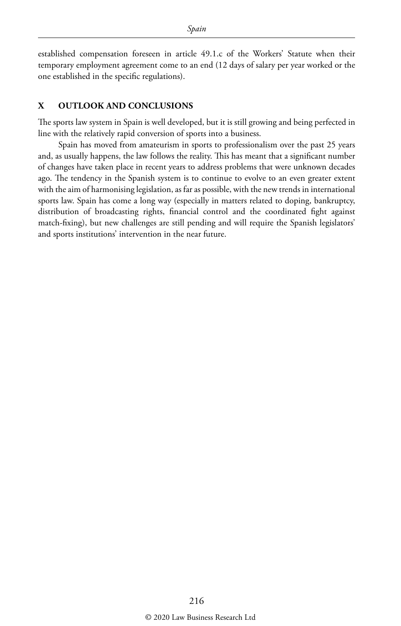established compensation foreseen in article 49.1.c of the Workers' Statute when their temporary employment agreement come to an end (12 days of salary per year worked or the one established in the specific regulations).

#### **X OUTLOOK AND CONCLUSIONS**

The sports law system in Spain is well developed, but it is still growing and being perfected in line with the relatively rapid conversion of sports into a business.

Spain has moved from amateurism in sports to professionalism over the past 25 years and, as usually happens, the law follows the reality. This has meant that a significant number of changes have taken place in recent years to address problems that were unknown decades ago. The tendency in the Spanish system is to continue to evolve to an even greater extent with the aim of harmonising legislation, as far as possible, with the new trends in international sports law. Spain has come a long way (especially in matters related to doping, bankruptcy, distribution of broadcasting rights, financial control and the coordinated fight against match-fixing), but new challenges are still pending and will require the Spanish legislators' and sports institutions' intervention in the near future.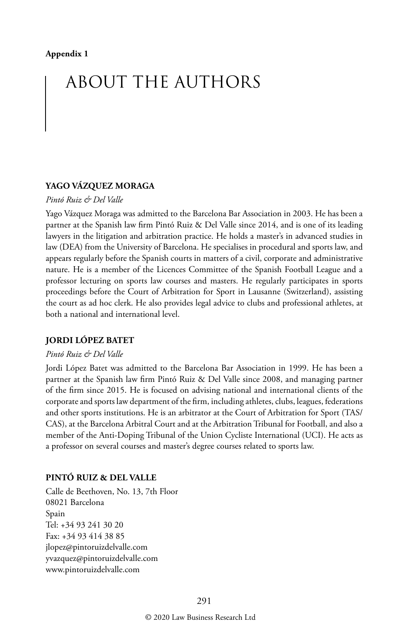## ABOUT THE AUTHORS

#### **YAGO VÁZQUEZ MORAGA**

#### *Pintó Ruiz & Del Valle*

Yago Vázquez Moraga was admitted to the Barcelona Bar Association in 2003. He has been a partner at the Spanish law firm Pintó Ruiz & Del Valle since 2014, and is one of its leading lawyers in the litigation and arbitration practice. He holds a master's in advanced studies in law (DEA) from the University of Barcelona. He specialises in procedural and sports law, and appears regularly before the Spanish courts in matters of a civil, corporate and administrative nature. He is a member of the Licences Committee of the Spanish Football League and a professor lecturing on sports law courses and masters. He regularly participates in sports proceedings before the Court of Arbitration for Sport in Lausanne (Switzerland), assisting the court as ad hoc clerk. He also provides legal advice to clubs and professional athletes, at both a national and international level.

#### **JORDI LÓPEZ BATET**

#### *Pintó Ruiz & Del Valle*

Jordi López Batet was admitted to the Barcelona Bar Association in 1999. He has been a partner at the Spanish law firm Pintó Ruiz & Del Valle since 2008, and managing partner of the firm since 2015. He is focused on advising national and international clients of the corporate and sports law department of the firm, including athletes, clubs, leagues, federations and other sports institutions. He is an arbitrator at the Court of Arbitration for Sport (TAS/ CAS), at the Barcelona Arbitral Court and at the Arbitration Tribunal for Football, and also a member of the Anti-Doping Tribunal of the Union Cycliste International (UCI). He acts as a professor on several courses and master's degree courses related to sports law.

#### **PINTÓ RUIZ & DEL VALLE**

Calle de Beethoven, No. 13, 7th Floor 08021 Barcelona Spain Tel: +34 93 241 30 20 Fax: +34 93 414 38 85 jlopez@pintoruizdelvalle.com yvazquez@pintoruizdelvalle.com www.pintoruizdelvalle.com